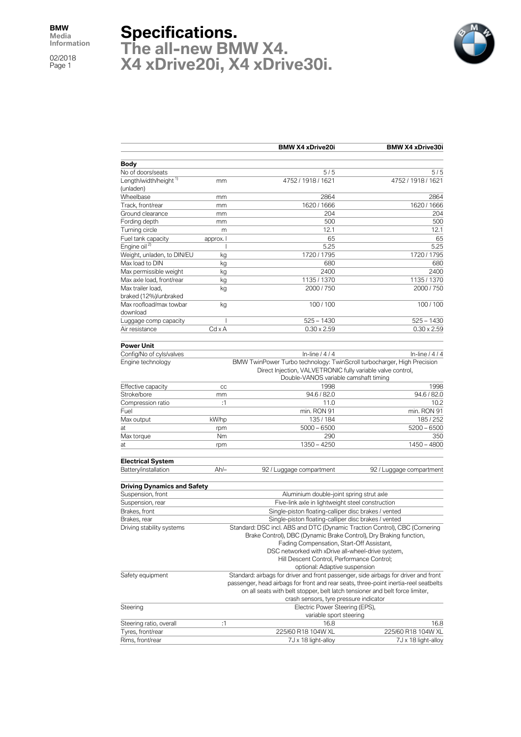## **Specifications.**

**The all-new BMW X4. X4 xDrive20i, X4 xDrive30i.**



|                                    |                                                                                                                                                                             | <b>BMW X4 xDrive20i</b>                                                                                                                                                         | <b>BMW X4 xDrive30i</b>  |  |  |
|------------------------------------|-----------------------------------------------------------------------------------------------------------------------------------------------------------------------------|---------------------------------------------------------------------------------------------------------------------------------------------------------------------------------|--------------------------|--|--|
| <b>Body</b>                        |                                                                                                                                                                             |                                                                                                                                                                                 |                          |  |  |
| No of doors/seats                  |                                                                                                                                                                             | 5/5                                                                                                                                                                             | 5/5                      |  |  |
| Length/width/height "<br>(unladen) | mm                                                                                                                                                                          | 4752 / 1918 / 1621                                                                                                                                                              | 4752 / 1918 / 1621       |  |  |
| Wheelbase                          | mm                                                                                                                                                                          | 2864                                                                                                                                                                            | 2864                     |  |  |
| Track, front/rear                  | mm                                                                                                                                                                          | 1620 / 1666                                                                                                                                                                     | 1620 / 1666              |  |  |
| Ground clearance                   | mm                                                                                                                                                                          | 204                                                                                                                                                                             | 204                      |  |  |
| Fording depth                      | mm                                                                                                                                                                          | 500                                                                                                                                                                             | 500                      |  |  |
| Turning circle                     | m                                                                                                                                                                           | 12.1                                                                                                                                                                            | 12.1                     |  |  |
| Fuel tank capacity                 | approx. I                                                                                                                                                                   | 65                                                                                                                                                                              | 65                       |  |  |
| Engine oil <sup>2)</sup>           | I                                                                                                                                                                           | 5.25                                                                                                                                                                            | 5.25                     |  |  |
| Weight, unladen, to DIN/EU         | kg                                                                                                                                                                          | 1720 / 1795                                                                                                                                                                     | 1720 / 1795              |  |  |
| Max load to DIN                    | kg                                                                                                                                                                          | 680                                                                                                                                                                             | 680                      |  |  |
| Max permissible weight             | kg                                                                                                                                                                          | 2400                                                                                                                                                                            | 2400                     |  |  |
| Max axle load, front/rear          | kg                                                                                                                                                                          | 1135 / 1370                                                                                                                                                                     | 1135 / 1370              |  |  |
| Max trailer load,                  | kg                                                                                                                                                                          | 2000 / 750                                                                                                                                                                      | 2000 / 750               |  |  |
| braked (12%)/unbraked              |                                                                                                                                                                             |                                                                                                                                                                                 |                          |  |  |
| Max roofload/max towbar            | kg                                                                                                                                                                          | 100/100                                                                                                                                                                         | 100 / 100                |  |  |
| download                           |                                                                                                                                                                             |                                                                                                                                                                                 |                          |  |  |
| Luggage comp capacity              | I<br>$Cd \times A$                                                                                                                                                          | $525 - 1430$                                                                                                                                                                    | $525 - 1430$             |  |  |
| Air resistance                     |                                                                                                                                                                             | $0.30 \times 2.59$                                                                                                                                                              | $0.30 \times 2.59$       |  |  |
| <b>Power Unit</b>                  |                                                                                                                                                                             |                                                                                                                                                                                 |                          |  |  |
| Config/No of cyls/valves           |                                                                                                                                                                             | In-line $/4/4$                                                                                                                                                                  | In-line $/4/4$           |  |  |
| Engine technology                  |                                                                                                                                                                             |                                                                                                                                                                                 |                          |  |  |
|                                    |                                                                                                                                                                             | BMW TwinPower Turbo technology: TwinScroll turbocharger, High Precision<br>Direct Injection, VALVETRONIC fully variable valve control,<br>Double-VANOS variable camshaft timing |                          |  |  |
| Effective capacity                 | cc                                                                                                                                                                          | 1998                                                                                                                                                                            | 1998                     |  |  |
| Stroke/bore                        | mm                                                                                                                                                                          | 94.6 / 82.0                                                                                                                                                                     | 94.6 / 82.0              |  |  |
| Compression ratio                  | :1                                                                                                                                                                          | 11.0                                                                                                                                                                            | 10.2                     |  |  |
| Fuel                               |                                                                                                                                                                             | min. RON 91                                                                                                                                                                     | min. RON 91              |  |  |
| Max output                         | kW/hp                                                                                                                                                                       | 135/184                                                                                                                                                                         | 185 / 252                |  |  |
| at                                 | rpm                                                                                                                                                                         | $5000 - 6500$                                                                                                                                                                   | $5200 - 6500$            |  |  |
| Max torque                         | Nm                                                                                                                                                                          | 290                                                                                                                                                                             | 350                      |  |  |
| at                                 | rpm                                                                                                                                                                         | $1350 - 4250$                                                                                                                                                                   | $1450 - 4800$            |  |  |
| <b>Electrical System</b>           |                                                                                                                                                                             |                                                                                                                                                                                 |                          |  |  |
| Battery/installation               | $Ah/-$                                                                                                                                                                      | 92 / Luggage compartment                                                                                                                                                        | 92 / Luggage compartment |  |  |
|                                    |                                                                                                                                                                             |                                                                                                                                                                                 |                          |  |  |
| Driving Dynamics and Safety        |                                                                                                                                                                             |                                                                                                                                                                                 |                          |  |  |
| Suspension, front                  |                                                                                                                                                                             | Aluminium double-joint spring strut axle                                                                                                                                        |                          |  |  |
| Suspension, rear                   |                                                                                                                                                                             | Five-link axle in lightweight steel construction                                                                                                                                |                          |  |  |
| Brakes, front                      |                                                                                                                                                                             | Single-piston floating-calliper disc brakes / vented                                                                                                                            |                          |  |  |
| Brakes, rear                       |                                                                                                                                                                             | Single-piston floating-calliper disc brakes / vented                                                                                                                            |                          |  |  |
| Driving stability systems          |                                                                                                                                                                             | Standard: DSC incl. ABS and DTC (Dynamic Traction Control), CBC (Cornering                                                                                                      |                          |  |  |
|                                    | Brake Control), DBC (Dynamic Brake Control), Dry Braking function,                                                                                                          |                                                                                                                                                                                 |                          |  |  |
|                                    | Fading Compensation, Start-Off Assistant,                                                                                                                                   |                                                                                                                                                                                 |                          |  |  |
|                                    | DSC networked with xDrive all-wheel-drive system,<br>Hill Descent Control, Performance Control;                                                                             |                                                                                                                                                                                 |                          |  |  |
|                                    | optional: Adaptive suspension                                                                                                                                               |                                                                                                                                                                                 |                          |  |  |
| Safety equipment                   |                                                                                                                                                                             |                                                                                                                                                                                 |                          |  |  |
|                                    | Standard: airbags for driver and front passenger, side airbags for driver and front<br>passenger, head airbags for front and rear seats, three-point inertia-reel seatbelts |                                                                                                                                                                                 |                          |  |  |
|                                    |                                                                                                                                                                             | on all seats with belt stopper, belt latch tensioner and belt force limiter,                                                                                                    |                          |  |  |
|                                    |                                                                                                                                                                             | crash sensors, tyre pressure indicator                                                                                                                                          |                          |  |  |
| Steering                           |                                                                                                                                                                             | Electric Power Steering (EPS),                                                                                                                                                  |                          |  |  |
|                                    |                                                                                                                                                                             | variable sport steering                                                                                                                                                         |                          |  |  |
| Steering ratio, overall            | :1                                                                                                                                                                          | 16.8                                                                                                                                                                            | 16.8                     |  |  |
| Tyres, front/rear                  |                                                                                                                                                                             | 225/60 R18 104W XL                                                                                                                                                              | 225/60 R18 104W XL       |  |  |
| Rims, front/rear                   |                                                                                                                                                                             | 7J x 18 light-alloy                                                                                                                                                             | 7J x 18 light-alloy      |  |  |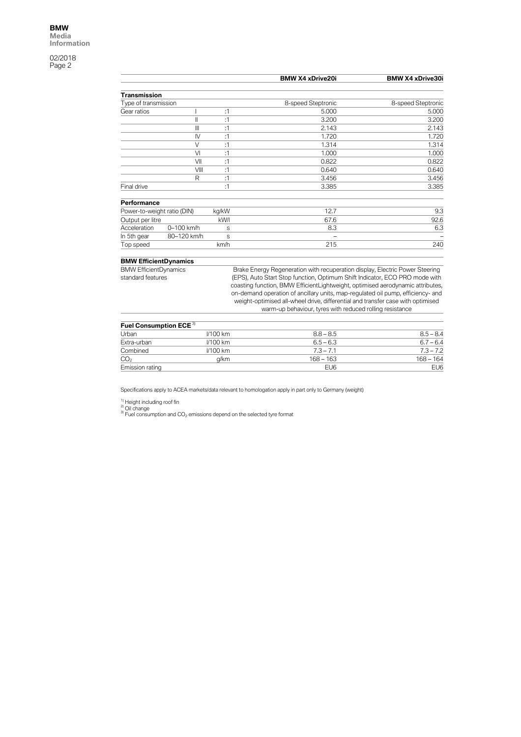|                              |              |       | <b>BMW X4 xDrive20i</b>                                                      | <b>BMW X4 xDrive30i</b> |
|------------------------------|--------------|-------|------------------------------------------------------------------------------|-------------------------|
| Transmission                 |              |       |                                                                              |                         |
| Type of transmission         |              |       | 8-speed Steptronic                                                           | 8-speed Steptronic      |
| Gear ratios                  |              | :1    | 5.000                                                                        | 5.000                   |
|                              | $\mathsf{I}$ | :1    | 3.200                                                                        | 3.200                   |
|                              | $\mathbb{I}$ | :1    | 2.143                                                                        | 2.143                   |
|                              | IV           | :1    | 1.720                                                                        | 1.720                   |
|                              | $\vee$       | :1    | 1.314                                                                        | 1.314                   |
|                              | VI           | :1    | 1.000                                                                        | 1.000                   |
|                              | VII          | :1    | 0.822                                                                        | 0.822                   |
|                              | VIII         | :1    | 0.640                                                                        | 0.640                   |
|                              | R            | :1    | 3.456                                                                        | 3.456                   |
| Final drive                  |              | :1    | 3.385                                                                        | 3.385                   |
| Performance                  |              |       |                                                                              |                         |
| Power-to-weight ratio (DIN)  |              | kg/kW | 12.7                                                                         | 9.3                     |
| Output per litre             |              | kW/I  | 67.6                                                                         | 92.6                    |
| Acceleration                 | 0-100 km/h   | S     | 8.3                                                                          | 6.3                     |
| In 5th gear                  | 80-120 km/h  | S     |                                                                              |                         |
| Top speed                    |              | km/h  | 215                                                                          | 240                     |
| <b>BMW EfficientDynamics</b> |              |       |                                                                              |                         |
| <b>BMW EfficientDynamics</b> |              |       | Brake Energy Regeneration with recuperation display, Electric Power Steering |                         |
| standard features            |              |       | (EPS), Auto Start Stop function, Optimum Shift Indicator, ECO PRO mode with  |                         |

coasting function, BMW EfficientLightweight, optimised aerodynamic attributes, on-demand operation of ancillary units, map-regulated oil pump, efficiency- and weight-optimised all-wheel drive, differential and transfer case with optimised warm-up behaviour, tyres with reduced rolling resistance

| Fuel Consumption ECE <sup>3)</sup> |            |                 |             |
|------------------------------------|------------|-----------------|-------------|
| Urban                              | $1/100$ km | $8.8 - 8.5$     | $8.5 - 8.4$ |
| Extra-urban                        | $1/100$ km | $6.5 - 6.3$     | $6.7 - 6.4$ |
| Combined                           | $1/100$ km | $7.3 - 7.1$     | $7.3 - 7.2$ |
| CO <sub>2</sub>                    | a/km       | $168 - 163$     | $168 - 164$ |
| Emission rating                    |            | EU <sub>6</sub> | EU6         |

Specifications apply to ACEA markets/data relevant to homologation apply in part only to Germany (weight)

<sup>1)</sup> Height including roof fin<br><sup>2)</sup> Oil change<br><sup>3)</sup> Fuel consumption and CO<sub>2</sub> emissions depend on the selected tyre format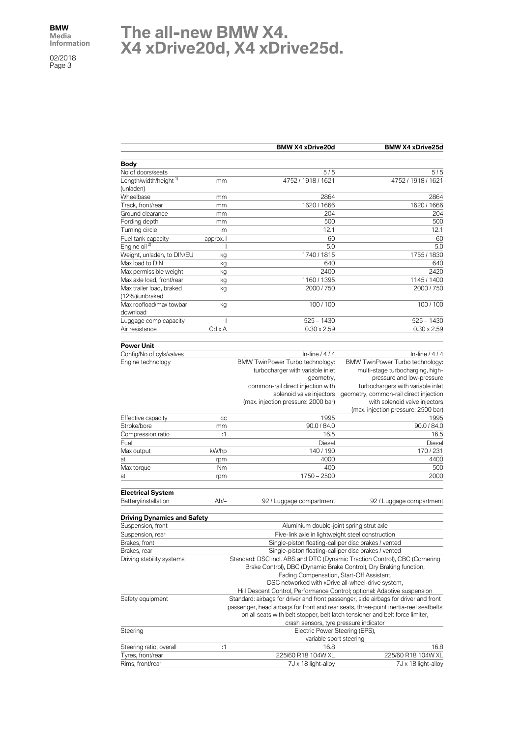## **The all-new BMW X4. X4 xDrive20d, X4 xDrive25d.**

|                                     |                                                                                     | <b>BMW X4 xDrive20d</b>                                                              | <b>BMW X4 xDrive25d</b>                |  |
|-------------------------------------|-------------------------------------------------------------------------------------|--------------------------------------------------------------------------------------|----------------------------------------|--|
| <b>Body</b>                         |                                                                                     |                                                                                      |                                        |  |
| No of doors/seats                   |                                                                                     | 5/5                                                                                  | 5/5                                    |  |
| Length/width/height <sup>1)</sup>   | mm                                                                                  | 4752 / 1918 / 1621                                                                   | 4752 / 1918 / 1621                     |  |
| (unladen)                           |                                                                                     |                                                                                      |                                        |  |
| Wheelbase                           | mm                                                                                  | 2864                                                                                 | 2864                                   |  |
| Track, front/rear                   | mm                                                                                  | 1620 / 1666                                                                          | 1620 / 1666                            |  |
| Ground clearance                    | mm                                                                                  | 204                                                                                  | 204                                    |  |
| Fording depth                       | mm                                                                                  | 500                                                                                  | 500                                    |  |
| Turning circle                      | m                                                                                   | 12.1                                                                                 | 12.1                                   |  |
| Fuel tank capacity                  | approx. I                                                                           | 60                                                                                   | 60                                     |  |
| Engine oil <sup>2)</sup>            |                                                                                     | 5.0                                                                                  | 5.0                                    |  |
| Weight, unladen, to DIN/EU          | kg                                                                                  | 1740 / 1815                                                                          | 1755 / 1830                            |  |
| Max load to DIN                     | kg                                                                                  | 640                                                                                  | 640                                    |  |
| Max permissible weight              | kg                                                                                  | 2400                                                                                 | 2420                                   |  |
| Max axle load, front/rear           | kg                                                                                  | 1160 / 1395                                                                          | 1145 / 1400                            |  |
| Max trailer load, braked            |                                                                                     | 2000 / 750                                                                           | 2000 / 750                             |  |
| (12%)/unbraked                      | kg                                                                                  |                                                                                      |                                        |  |
| Max roofload/max towbar<br>download | kg                                                                                  | 100 / 100                                                                            | 100 / 100                              |  |
| Luggage comp capacity               | I                                                                                   | $525 - 1430$                                                                         | $525 - 1430$                           |  |
| Air resistance                      | $Cd \times A$                                                                       | $0.30 \times 2.59$                                                                   | $0.30 \times 2.59$                     |  |
|                                     |                                                                                     |                                                                                      |                                        |  |
| <b>Power Unit</b>                   |                                                                                     |                                                                                      |                                        |  |
| Config/No of cyls/valves            |                                                                                     | In-line $/4/4$                                                                       | In-line $/4/4$                         |  |
| Engine technology                   |                                                                                     | BMW TwinPower Turbo technology:                                                      | BMW TwinPower Turbo technology:        |  |
|                                     |                                                                                     | turbocharger with variable inlet                                                     | multi-stage turbocharging, high-       |  |
|                                     |                                                                                     | geometry,                                                                            | pressure and low-pressure              |  |
|                                     |                                                                                     | common-rail direct injection with                                                    | turbochargers with variable inlet      |  |
|                                     |                                                                                     | solenoid valve injectors                                                             | geometry, common-rail direct injection |  |
|                                     |                                                                                     | (max. injection pressure: 2000 bar)                                                  | with solenoid valve injectors          |  |
|                                     |                                                                                     |                                                                                      | (max. injection pressure: 2500 bar)    |  |
| Effective capacity                  | CC                                                                                  | 1995                                                                                 | 1995                                   |  |
| Stroke/bore                         | mm                                                                                  | 90.0 / 84.0                                                                          | 90.0 / 84.0                            |  |
| Compression ratio                   | :1                                                                                  | 16.5                                                                                 | 16.5                                   |  |
| Fuel                                |                                                                                     | Diesel                                                                               | Diesel                                 |  |
| Max output                          | kW/hp                                                                               | 140 / 190                                                                            | 170/231                                |  |
| at                                  | rpm                                                                                 | 4000                                                                                 | 4400                                   |  |
| Max torque                          | Nm                                                                                  | 400                                                                                  | 500                                    |  |
| at                                  | rpm                                                                                 | $1750 - 2500$                                                                        | 2000                                   |  |
|                                     |                                                                                     |                                                                                      |                                        |  |
| <b>Electrical System</b>            |                                                                                     |                                                                                      |                                        |  |
| Battery/installation                | $Ah/-$                                                                              | 92 / Luggage compartment                                                             | 92 / Luggage compartment               |  |
|                                     |                                                                                     |                                                                                      |                                        |  |
| <b>Driving Dynamics and Safety</b>  |                                                                                     |                                                                                      |                                        |  |
| Suspension, front                   |                                                                                     | Aluminium double-joint spring strut axle                                             |                                        |  |
| Suspension, rear                    |                                                                                     | Five-link axle in lightweight steel construction                                     |                                        |  |
| Brakes, front                       |                                                                                     | Single-piston floating-calliper disc brakes / vented                                 |                                        |  |
| Brakes, rear                        |                                                                                     | Single-piston floating-calliper disc brakes / vented                                 |                                        |  |
| Driving stability systems           | Standard: DSC incl. ABS and DTC (Dynamic Traction Control), CBC (Cornering          |                                                                                      |                                        |  |
|                                     |                                                                                     | Brake Control), DBC (Dynamic Brake Control), Dry Braking function,                   |                                        |  |
|                                     |                                                                                     | Fading Compensation, Start-Off Assistant,                                            |                                        |  |
|                                     |                                                                                     | DSC networked with xDrive all-wheel-drive system,                                    |                                        |  |
|                                     |                                                                                     | Hill Descent Control, Performance Control; optional: Adaptive suspension             |                                        |  |
| Safety equipment                    | Standard: airbags for driver and front passenger, side airbags for driver and front |                                                                                      |                                        |  |
|                                     |                                                                                     | passenger, head airbags for front and rear seats, three-point inertia-reel seatbelts |                                        |  |
|                                     |                                                                                     | on all seats with belt stopper, belt latch tensioner and belt force limiter,         |                                        |  |
|                                     |                                                                                     | crash sensors, tyre pressure indicator                                               |                                        |  |
| Steering                            |                                                                                     | Electric Power Steering (EPS),                                                       |                                        |  |
|                                     |                                                                                     | variable sport steering                                                              |                                        |  |
| Steering ratio, overall             | :1                                                                                  | 16.8                                                                                 | 16.8                                   |  |
| Tyres, front/rear                   |                                                                                     | 225/60 R18 104W XL                                                                   | 225/60 R18 104W XL                     |  |
| Rims, front/rear                    |                                                                                     | 7J x 18 light-alloy                                                                  | 7J x 18 light-alloy                    |  |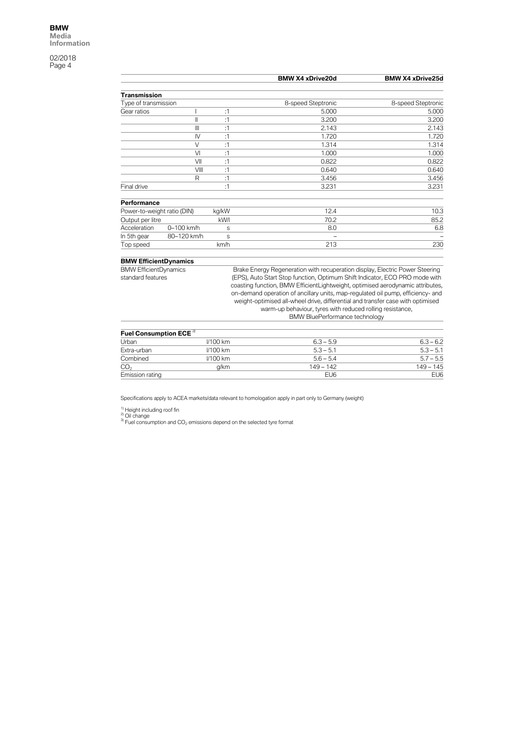|                                    |                |                 | <b>BMW X4 xDrive20d</b>                                                         | <b>BMW X4 xDrive25d</b> |
|------------------------------------|----------------|-----------------|---------------------------------------------------------------------------------|-------------------------|
| <b>Transmission</b>                |                |                 |                                                                                 |                         |
| Type of transmission               |                |                 | 8-speed Steptronic                                                              | 8-speed Steptronic      |
| Gear ratios                        | I              | :1              | 5.000                                                                           | 5.000                   |
|                                    | $\mathbf{I}$   | :1              | 3.200                                                                           | 3.200                   |
|                                    | $\mathbf{III}$ | :1              | 2.143                                                                           | 2.143                   |
|                                    | $\mathsf{N}$   | :1              | 1.720                                                                           | 1.720                   |
|                                    | $\vee$         | :1              | 1.314                                                                           | 1.314                   |
|                                    | VI             | :1              | 1.000                                                                           | 1.000                   |
|                                    | VII            | :1              | 0.822                                                                           | 0.822                   |
|                                    | VIII           | :1              | 0.640                                                                           | 0.640                   |
|                                    | R              | :1              | 3.456                                                                           | 3.456                   |
| Final drive                        |                | :1              | 3.231                                                                           | 3.231                   |
| Performance                        |                |                 |                                                                                 |                         |
| Power-to-weight ratio (DIN)        |                | kg/kW           | 12.4                                                                            | 10.3                    |
| Output per litre                   |                | kW/l            | 70.2                                                                            | 85.2                    |
| Acceleration                       | 0-100 km/h     | S               | 8.0                                                                             | 6.8                     |
| In 5th gear                        | 80-120 km/h    | S               |                                                                                 |                         |
| Top speed                          |                | km/h            | 213                                                                             | 230                     |
| <b>BMW EfficientDynamics</b>       |                |                 |                                                                                 |                         |
| <b>BMW EfficientDynamics</b>       |                |                 | Brake Energy Regeneration with recuperation display, Electric Power Steering    |                         |
| standard features                  |                |                 | (EPS), Auto Start Stop function, Optimum Shift Indicator, ECO PRO mode with     |                         |
|                                    |                |                 | coasting function, BMW EfficientLightweight, optimised aerodynamic attributes,  |                         |
|                                    |                |                 | on-demand operation of ancillary units, map-regulated oil pump, efficiency- and |                         |
|                                    |                |                 | weight-optimised all-wheel drive, differential and transfer case with optimised |                         |
|                                    |                |                 | warm-up behaviour, tyres with reduced rolling resistance,                       |                         |
|                                    |                |                 | <b>BMW BluePerformance technology</b>                                           |                         |
| Fuel Consumption ECE <sup>3)</sup> |                |                 |                                                                                 |                         |
| Urban                              |                | <b>I/100 km</b> | $6.3 - 5.9$                                                                     | $6.3 - 6.2$             |
| Extra-urban                        |                | <b>I/100 km</b> | $5.3 - 5.1$                                                                     | $5.3 - 5.1$             |
| Combined                           |                | I/100 km        | $5.6 - 5.4$                                                                     | $5.7 - 5.5$             |
| CO <sub>2</sub>                    |                | g/km            | $149 - 142$                                                                     | $149 - 145$             |
| Emission rating                    |                |                 | EU <sub>6</sub>                                                                 | EU <sub>6</sub>         |

Specifications apply to ACEA markets/data relevant to homologation apply in part only to Germany (weight)

<sup>1)</sup> Height including roof fin<br><sup>2)</sup> Oil change<br><sup>3)</sup> Fuel consumption and CO<sub>2</sub> emissions depend on the selected tyre format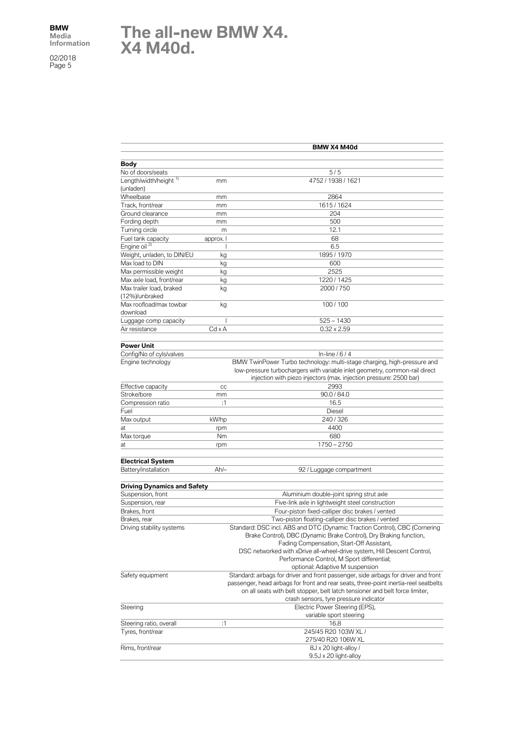## **The all-new BMW X4. X4 M40d.**

|                                            | BMW X4 M40d |                                                                                                                                                  |  |
|--------------------------------------------|-------------|--------------------------------------------------------------------------------------------------------------------------------------------------|--|
|                                            |             |                                                                                                                                                  |  |
| <b>Body</b><br>No of doors/seats           |             | 5/5                                                                                                                                              |  |
| Length/width/height <sup>1)</sup>          | mm          | 4752 / 1938 / 1621                                                                                                                               |  |
| (unladen)                                  |             |                                                                                                                                                  |  |
| Wheelbase                                  | mm          | 2864                                                                                                                                             |  |
| Track, front/rear                          | mm          | 1615/1624                                                                                                                                        |  |
| Ground clearance                           | mm          | 204                                                                                                                                              |  |
| Fording depth                              | mm          | 500                                                                                                                                              |  |
| Turning circle                             | m           | 12.1                                                                                                                                             |  |
| Fuel tank capacity                         | approx. I   | 68                                                                                                                                               |  |
| Engine oil <sup>2)</sup>                   | ı           | 6.5                                                                                                                                              |  |
| Weight, unladen, to DIN/EU                 | kg          | 1895 / 1970                                                                                                                                      |  |
| Max load to DIN                            | kg          | 600                                                                                                                                              |  |
| Max permissible weight                     | kg          | 2525                                                                                                                                             |  |
| Max axle load, front/rear                  | kg          | 1220 / 1425                                                                                                                                      |  |
| Max trailer load, braked<br>(12%)/unbraked | kg          | 2000 / 750                                                                                                                                       |  |
| Max roofload/max towbar<br>download        | kg          | 100/100                                                                                                                                          |  |
| Luggage comp capacity                      | T           | $525 - 1430$                                                                                                                                     |  |
| Air resistance                             | Cd x A      | $0.32 \times 2.59$                                                                                                                               |  |
|                                            |             |                                                                                                                                                  |  |
| <b>Power Unit</b>                          |             |                                                                                                                                                  |  |
| Config/No of cyls/valves                   |             | In-line $/6/4$                                                                                                                                   |  |
| Engine technology                          |             | BMW TwinPower Turbo technology: multi-stage charging, high-pressure and                                                                          |  |
|                                            |             | low-pressure turbochargers with variable inlet geometry, common-rail direct                                                                      |  |
|                                            |             | injection with piezo injectors (max. injection pressure: 2500 bar)                                                                               |  |
| Effective capacity                         | cc          | 2993                                                                                                                                             |  |
| Stroke/bore                                | mm          | 90.0 / 84.0                                                                                                                                      |  |
| Compression ratio                          | :1          | 16.5                                                                                                                                             |  |
| Fuel                                       |             | Diesel                                                                                                                                           |  |
| Max output                                 | kW/hp       | 240/326                                                                                                                                          |  |
| at                                         | rpm         | 4400                                                                                                                                             |  |
| Max torque                                 | Nm          | 680                                                                                                                                              |  |
| at                                         | rpm         | $1750 - 2750$                                                                                                                                    |  |
| <b>Electrical System</b>                   |             |                                                                                                                                                  |  |
| Battery/installation                       | $Ah/-$      | 92 / Luggage compartment                                                                                                                         |  |
|                                            |             |                                                                                                                                                  |  |
| <b>Driving Dynamics and Safety</b>         |             |                                                                                                                                                  |  |
| Suspension, front                          |             | Aluminium double-joint spring strut axle                                                                                                         |  |
| Suspension, rear                           |             | Five-link axle in lightweight steel construction                                                                                                 |  |
| Brakes, front                              |             | Four-piston fixed-calliper disc brakes / vented                                                                                                  |  |
| Brakes, rear                               |             | Two-piston floating-calliper disc brakes / vented                                                                                                |  |
| Driving stability systems                  |             | Standard: DSC incl. ABS and DTC (Dynamic Traction Control), CBC (Cornering<br>Brake Control), DBC (Dynamic Brake Control), Dry Braking function, |  |
|                                            |             | Fading Compensation, Start-Off Assistant,                                                                                                        |  |
|                                            |             | DSC networked with xDrive all-wheel-drive system, Hill Descent Control,                                                                          |  |
|                                            |             | Performance Control, M Sport differential;                                                                                                       |  |
|                                            |             | optional: Adaptive M suspension<br>Standard: airbags for driver and front passenger, side airbags for driver and front                           |  |
| Safety equipment                           |             | passenger, head airbags for front and rear seats, three-point inertia-reel seatbelts                                                             |  |
|                                            |             | on all seats with belt stopper, belt latch tensioner and belt force limiter,                                                                     |  |
|                                            |             | crash sensors, tyre pressure indicator                                                                                                           |  |
| Steering                                   |             | Electric Power Steering (EPS),                                                                                                                   |  |
|                                            |             | variable sport steering                                                                                                                          |  |
| Steering ratio, overall                    | :1          | 16.8                                                                                                                                             |  |
| Tyres, front/rear                          |             | 245/45 R20 103W XL /                                                                                                                             |  |
|                                            |             | 275/40 R20 106W XL                                                                                                                               |  |
| Rims, front/rear                           |             | 8J x 20 light-alloy /                                                                                                                            |  |
|                                            |             | 9.5J x 20 light-alloy                                                                                                                            |  |
|                                            |             |                                                                                                                                                  |  |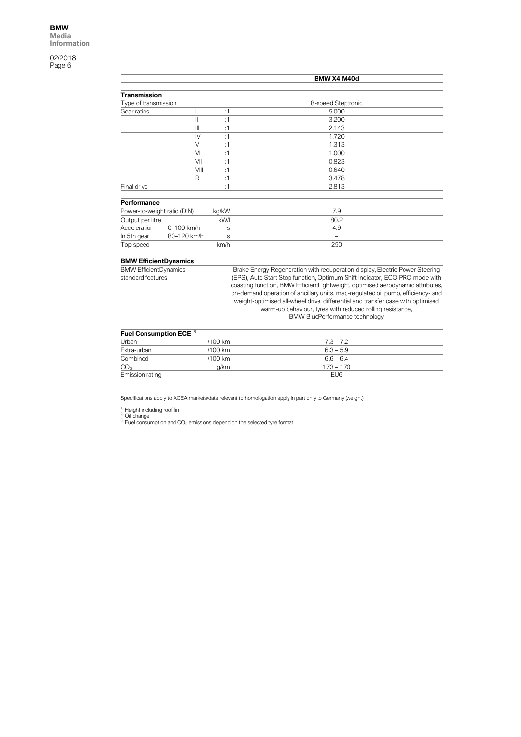|                                                   |                |       | BMW X4 M40d                                                                                                                                                                                                                                                                                                                                                                                                                                                                                                               |  |  |
|---------------------------------------------------|----------------|-------|---------------------------------------------------------------------------------------------------------------------------------------------------------------------------------------------------------------------------------------------------------------------------------------------------------------------------------------------------------------------------------------------------------------------------------------------------------------------------------------------------------------------------|--|--|
|                                                   |                |       |                                                                                                                                                                                                                                                                                                                                                                                                                                                                                                                           |  |  |
| <b>Transmission</b>                               |                |       |                                                                                                                                                                                                                                                                                                                                                                                                                                                                                                                           |  |  |
| Type of transmission                              |                |       | 8-speed Steptronic                                                                                                                                                                                                                                                                                                                                                                                                                                                                                                        |  |  |
| Gear ratios                                       |                | :1    | 5.000                                                                                                                                                                                                                                                                                                                                                                                                                                                                                                                     |  |  |
|                                                   | Ш              | :1    | 3.200                                                                                                                                                                                                                                                                                                                                                                                                                                                                                                                     |  |  |
|                                                   | Ш              | :1    | 2.143                                                                                                                                                                                                                                                                                                                                                                                                                                                                                                                     |  |  |
|                                                   | $\mathsf{N}$   | :1    | 1.720                                                                                                                                                                                                                                                                                                                                                                                                                                                                                                                     |  |  |
|                                                   | $\vee$         | :1    | 1.313                                                                                                                                                                                                                                                                                                                                                                                                                                                                                                                     |  |  |
|                                                   | VI             | :1    | 1.000                                                                                                                                                                                                                                                                                                                                                                                                                                                                                                                     |  |  |
|                                                   | VII            | :1    | 0.823                                                                                                                                                                                                                                                                                                                                                                                                                                                                                                                     |  |  |
|                                                   | VIII           | :1    | 0.640                                                                                                                                                                                                                                                                                                                                                                                                                                                                                                                     |  |  |
|                                                   | R              | :1    | 3.478                                                                                                                                                                                                                                                                                                                                                                                                                                                                                                                     |  |  |
| Final drive                                       |                | :1    | 2.813                                                                                                                                                                                                                                                                                                                                                                                                                                                                                                                     |  |  |
| Performance                                       |                |       |                                                                                                                                                                                                                                                                                                                                                                                                                                                                                                                           |  |  |
| Power-to-weight ratio (DIN)                       |                | kg/kW | 7.9                                                                                                                                                                                                                                                                                                                                                                                                                                                                                                                       |  |  |
| Output per litre                                  |                | kW/I  | 80.2                                                                                                                                                                                                                                                                                                                                                                                                                                                                                                                      |  |  |
| Acceleration                                      | $0 - 100$ km/h | S     | 4.9                                                                                                                                                                                                                                                                                                                                                                                                                                                                                                                       |  |  |
| In 5th gear                                       | 80-120 km/h    | S     | -                                                                                                                                                                                                                                                                                                                                                                                                                                                                                                                         |  |  |
| Top speed                                         |                | km/h  | 250                                                                                                                                                                                                                                                                                                                                                                                                                                                                                                                       |  |  |
| <b>BMW EfficientDynamics</b>                      |                |       |                                                                                                                                                                                                                                                                                                                                                                                                                                                                                                                           |  |  |
| <b>BMW EfficientDynamics</b><br>standard features |                |       | Brake Energy Regeneration with recuperation display, Electric Power Steering<br>(EPS), Auto Start Stop function, Optimum Shift Indicator, ECO PRO mode with<br>coasting function, BMW EfficientLightweight, optimised aerodynamic attributes,<br>on-demand operation of ancillary units, map-regulated oil pump, efficiency- and<br>weight-optimised all-wheel drive, differential and transfer case with optimised<br>warm-up behaviour, tyres with reduced rolling resistance,<br><b>BMW BluePerformance technology</b> |  |  |

| Fuel Consumption ECE 31 |                 |  |
|-------------------------|-----------------|--|
| <b>I/100 km</b>         | $7.3 - 7.2$     |  |
| $1/100$ km              | $6.3 - 5.9$     |  |
| $1/100$ km              | $6.6 - 6.4$     |  |
| a/km                    | $173 - 170$     |  |
|                         | EU <sub>6</sub> |  |
|                         |                 |  |

Specifications apply to ACEA markets/data relevant to homologation apply in part only to Germany (weight)

<sup>1)</sup> Height including roof fin<br><sup>2)</sup> Oil change<br><sup>3)</sup> Fuel consumption and CO<sub>2</sub> emissions depend on the selected tyre format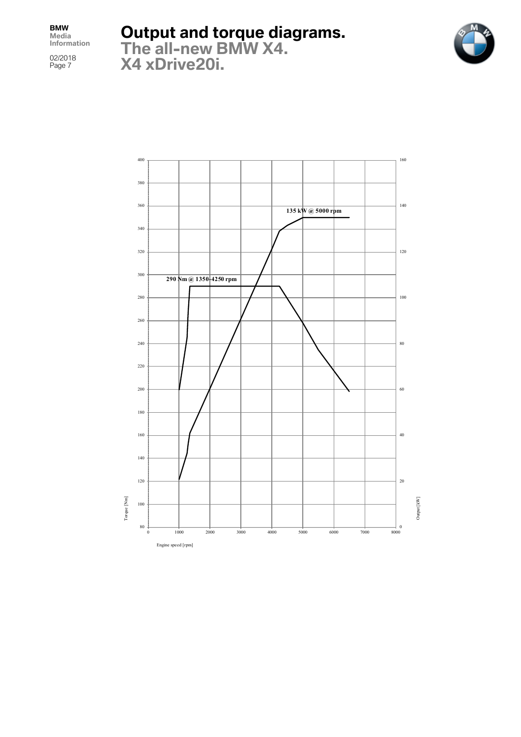02/2018 Page 7

**Output and torque diagrams.**



**The all-new BMW X4. X4 xDrive20i.**

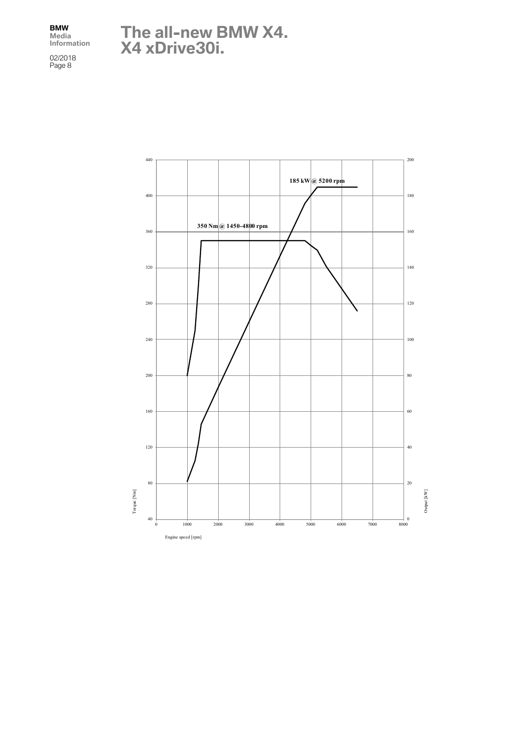02/2018 Page 8

**The all-new BMW X4. X4 xDrive30i.**

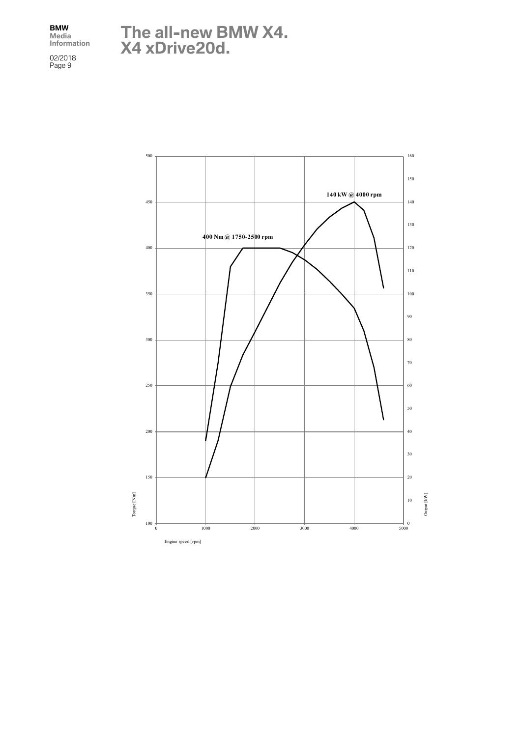02/2018 Page 9

**The all-new BMW X4. X4 xDrive20d.**

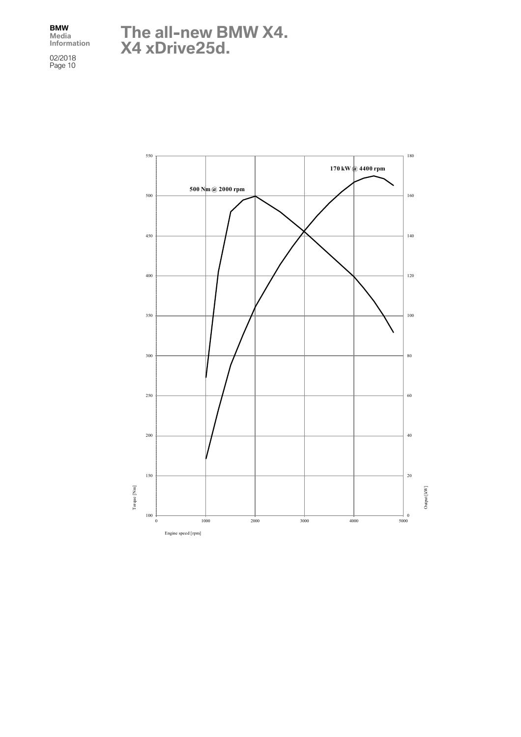## **The all-new BMW X4. X4 xDrive25d.**

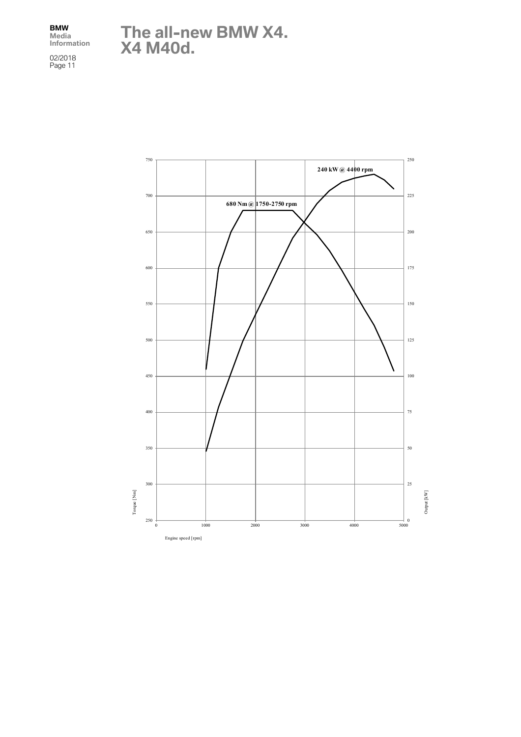02/2018 Page 11 **The all-new BMW X4. X4 M40d.**